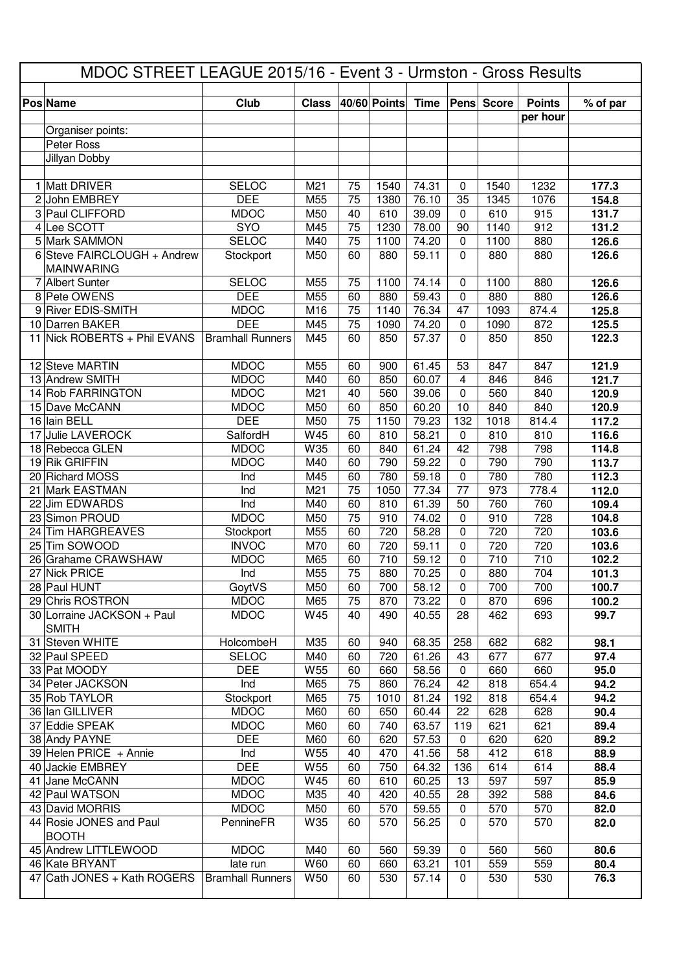|  |                                                  |                                     |              | MDOC STREET LEAGUE 2015/16 - Event 3 - Urmston - Gross Results |              |                |                            |              |                           |                |  |
|--|--------------------------------------------------|-------------------------------------|--------------|----------------------------------------------------------------|--------------|----------------|----------------------------|--------------|---------------------------|----------------|--|
|  | <b>Pos Name</b>                                  | <b>Club</b>                         | <b>Class</b> |                                                                | 40/60 Points | <b>Time</b>    | Pens                       | <b>Score</b> | <b>Points</b><br>per hour | % of par       |  |
|  | Organiser points:                                |                                     |              |                                                                |              |                |                            |              |                           |                |  |
|  | Peter Ross                                       |                                     |              |                                                                |              |                |                            |              |                           |                |  |
|  | Jillyan Dobby                                    |                                     |              |                                                                |              |                |                            |              |                           |                |  |
|  |                                                  |                                     |              |                                                                |              |                |                            |              |                           |                |  |
|  | 1 Matt DRIVER                                    | <b>SELOC</b>                        | M21          | 75                                                             | 1540         | 74.31          | $\mathbf 0$                | 1540         | 1232                      | 177.3          |  |
|  | 2 John EMBREY<br>3 Paul CLIFFORD                 | <b>DEE</b><br><b>MDOC</b>           | M55<br>M50   | 75<br>40                                                       | 1380<br>610  | 76.10<br>39.09 | 35<br>$\mathbf 0$          | 1345<br>610  | 1076<br>915               | 154.8          |  |
|  | 4 Lee SCOTT                                      | <b>SYO</b>                          | M45          | 75                                                             | 1230         | 78.00          | 90                         | 1140         | 912                       | 131.7<br>131.2 |  |
|  | 5 Mark SAMMON                                    | <b>SELOC</b>                        | M40          | 75                                                             | 1100         | 74.20          | $\mathbf 0$                | 1100         | 880                       | 126.6          |  |
|  | 6 Steve FAIRCLOUGH + Andrew<br><b>MAINWARING</b> | Stockport                           | M50          | 60                                                             | 880          | 59.11          | $\Omega$                   | 880          | 880                       | 126.6          |  |
|  | 7 Albert Sunter                                  | <b>SELOC</b>                        | M55          | 75                                                             | 1100         | 74.14          | 0                          | 1100         | 880                       | 126.6          |  |
|  | 8 Pete OWENS                                     | <b>DEE</b>                          | M55          | 60                                                             | 880          | 59.43          | $\Omega$                   | 880          | 880                       | 126.6          |  |
|  | 9 River EDIS-SMITH                               | <b>MDOC</b>                         | M16          | 75                                                             | 1140         | 76.34          | 47                         | 1093         | 874.4                     | 125.8          |  |
|  | 10 Darren BAKER                                  | <b>DEE</b>                          | M45          | 75                                                             | 1090         | 74.20          | $\mathbf 0$                | 1090         | 872                       | 125.5          |  |
|  | 11 Nick ROBERTS + Phil EVANS                     | <b>Bramhall Runners</b>             | M45          | 60                                                             | 850          | 57.37          | $\Omega$                   | 850          | 850                       | 122.3          |  |
|  | 12 Steve MARTIN                                  | <b>MDOC</b>                         | M55          | 60                                                             | 900          | 61.45          | 53                         | 847          | 847                       | 121.9          |  |
|  | 13 Andrew SMITH                                  | <b>MDOC</b>                         | M40          | 60                                                             | 850          | 60.07          | $\overline{4}$             | 846          | 846                       | 121.7          |  |
|  | 14 Rob FARRINGTON                                | <b>MDOC</b>                         | M21          | 40                                                             | 560          | 39.06          | $\Omega$                   | 560          | 840                       | 120.9          |  |
|  | 15 Dave McCANN                                   | <b>MDOC</b>                         | M50          | 60                                                             | 850          | 60.20          | 10                         | 840          | 840                       | 120.9          |  |
|  | 16 lain BELL<br>17 Julie LAVEROCK                | <b>DEE</b><br>SalfordH              | M50<br>W45   | 75<br>60                                                       | 1150<br>810  | 79.23<br>58.21 | 132<br>$\mathbf 0$         | 1018<br>810  | 814.4<br>810              | 117.2<br>116.6 |  |
|  | 18 Rebecca GLEN                                  | <b>MDOC</b>                         | W35          | 60                                                             | 840          | 61.24          | 42                         | 798          | 798                       | 114.8          |  |
|  | 19 Rik GRIFFIN                                   | <b>MDOC</b>                         | M40          | 60                                                             | 790          | 59.22          | $\mathbf 0$                | 790          | 790                       | 113.7          |  |
|  | 20 Richard MOSS                                  | Ind                                 | M45          | 60                                                             | 780          | 59.18          | $\mathbf 0$                | 780          | 780                       | 112.3          |  |
|  | 21 Mark EASTMAN                                  | Ind                                 | M21          | 75                                                             | 1050         | 77.34          | 77                         | 973          | 778.4                     | 112.0          |  |
|  | 22 Jim EDWARDS                                   | Ind                                 | M40          | 60                                                             | 810          | 61.39          | 50                         | 760          | 760                       | 109.4          |  |
|  | 23 Simon PROUD                                   | <b>MDOC</b>                         | M50          | 75                                                             | 910          | 74.02          | $\mathbf 0$                | 910          | 728                       | 104.8          |  |
|  | 24 Tim HARGREAVES                                | Stockport                           | M55          | 60                                                             | 720          | 58.28          | $\mathbf 0$                | 720          | 720                       | 103.6          |  |
|  | 25 Tim SOWOOD                                    | <b>INVOC</b>                        | M70          | 60                                                             | 720          | 59.11          | $\mathbf 0$                | 720          | 720                       | 103.6          |  |
|  | 26 Grahame CRAWSHAW                              | <b>MDOC</b>                         | M65          | 60                                                             | 710          | 59.12          | $\Omega$                   | 710          | 710                       | 102.2          |  |
|  | 27 Nick PRICE                                    | Ind                                 | M55          | $\overline{75}$                                                | 880          | 70.25          | 0                          | 880          | 704                       | 101.3          |  |
|  | 28 Paul HUNT<br>29 Chris ROSTRON                 | GoytVS<br><b>MDOC</b>               | M50<br>M65   | 60<br>75                                                       | 700<br>870   | 58.12<br>73.22 | $\mathbf 0$<br>$\mathbf 0$ | 700<br>870   | 700                       | 100.7          |  |
|  | 30 Lorraine JACKSON + Paul                       | <b>MDOC</b>                         | W45          | 40                                                             | 490          | 40.55          | 28                         | 462          | 696<br>693                | 100.2<br>99.7  |  |
|  | <b>SMITH</b>                                     |                                     |              |                                                                |              |                |                            |              |                           |                |  |
|  | 31 Steven WHITE                                  | HolcombeH                           | M35          | 60                                                             | 940          | 68.35          | 258                        | 682          | 682                       | 98.1           |  |
|  | 32 Paul SPEED                                    | <b>SELOC</b>                        | M40          | 60                                                             | 720          | 61.26          | 43                         | 677          | 677                       | 97.4           |  |
|  | 33 Pat MOODY                                     | <b>DEE</b>                          | W55          | 60                                                             | 660          | 58.56          | $\pmb{0}$                  | 660          | 660                       | 95.0           |  |
|  | 34 Peter JACKSON<br>35 Rob TAYLOR                | Ind<br>Stockport                    | M65<br>M65   | 75<br>75                                                       | 860<br>1010  | 76.24<br>81.24 | 42<br>192                  | 818<br>818   | 654.4<br>654.4            | 94.2<br>94.2   |  |
|  | 36 Ian GILLIVER                                  | <b>MDOC</b>                         | M60          | 60                                                             | 650          | 60.44          | 22                         | 628          | 628                       | 90.4           |  |
|  | 37 Eddie SPEAK                                   | <b>MDOC</b>                         | M60          | 60                                                             | 740          | 63.57          | 119                        | 621          | 621                       | 89.4           |  |
|  | 38 Andy PAYNE                                    | <b>DEE</b>                          | M60          | 60                                                             | 620          | 57.53          | $\pmb{0}$                  | 620          | 620                       | 89.2           |  |
|  | 39 Helen PRICE + Annie                           | Ind                                 | W55          | 40                                                             | 470          | 41.56          | 58                         | 412          | 618                       | 88.9           |  |
|  | 40 Jackie EMBREY                                 | <b>DEE</b>                          | W55          | 60                                                             | 750          | 64.32          | 136                        | 614          | 614                       | 88.4           |  |
|  | 41 Jane McCANN                                   | <b>MDOC</b>                         | W45          | 60                                                             | 610          | 60.25          | 13                         | 597          | 597                       | 85.9           |  |
|  | 42 Paul WATSON                                   | <b>MDOC</b>                         | M35          | 40                                                             | 420          | 40.55          | 28                         | 392          | 588                       | 84.6           |  |
|  | 43 David MORRIS                                  | <b>MDOC</b>                         | M50          | 60                                                             | 570          | 59.55          | $\pmb{0}$                  | 570          | 570                       | 82.0           |  |
|  | 44 Rosie JONES and Paul<br><b>BOOTH</b>          | PennineFR                           | W35          | 60                                                             | 570          | 56.25          | $\mathbf 0$                | 570          | 570                       | 82.0           |  |
|  | 45 Andrew LITTLEWOOD                             | <b>MDOC</b>                         | M40          | 60                                                             | 560          | 59.39          | $\pmb{0}$                  | 560          | 560                       | 80.6           |  |
|  | 46 Kate BRYANT<br>47 Cath JONES + Kath ROGERS    | late run<br><b>Bramhall Runners</b> | W60<br>W50   | 60<br>60                                                       | 660<br>530   | 63.21<br>57.14 | 101<br>0                   | 559<br>530   | 559<br>530                | 80.4<br>76.3   |  |
|  |                                                  |                                     |              |                                                                |              |                |                            |              |                           |                |  |